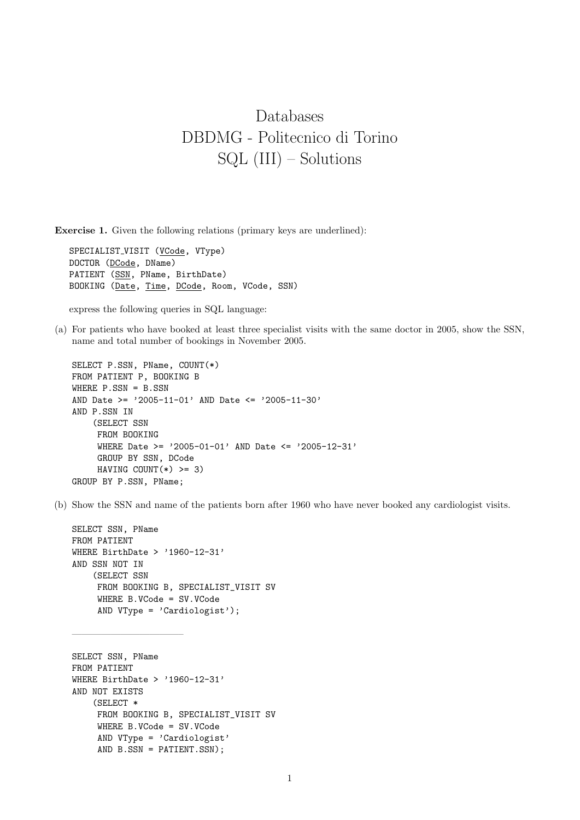## Databases DBDMG - Politecnico di Torino SQL (III) – Solutions

Exercise 1. Given the following relations (primary keys are underlined):

SPECIALIST VISIT (VCode, VType) DOCTOR (DCode, DName) PATIENT (SSN, PName, BirthDate) BOOKING (Date, Time, DCode, Room, VCode, SSN)

express the following queries in SQL language:

(a) For patients who have booked at least three specialist visits with the same doctor in 2005, show the SSN, name and total number of bookings in November 2005.

```
SELECT P.SSN, PName, COUNT(*)
FROM PATIENT P, BOOKING B
WHERE P.SSN = B.SSN
AND Date >= '2005-11-01' AND Date <= '2005-11-30'
AND P.SSN IN
    (SELECT SSN
    FROM BOOKING
     WHERE Date >= '2005-01-01' AND Date <= '2005-12-31'
     GROUP BY SSN, DCode
     HAVING COUNT(*) >= 3)
GROUP BY P.SSN, PName;
```
(b) Show the SSN and name of the patients born after 1960 who have never booked any cardiologist visits.

```
SELECT SSN, PName
FROM PATIENT
WHERE BirthDate > '1960-12-31'
AND SSN NOT IN
    (SELECT SSN
     FROM BOOKING B, SPECIALIST_VISIT SV
     WHERE B.VCode = SV.VCode
     AND VType = 'Cardiologist');
```
———————————–

```
SELECT SSN, PName
FROM PATIENT
WHERE BirthDate > '1960-12-31'
AND NOT EXISTS
    (SELECT *
     FROM BOOKING B, SPECIALIST_VISIT SV
     WHERE B.VCode = SV.VCode
     AND VType = 'Cardiologist'
     AND B.SSN = PATIENT.SSN);
```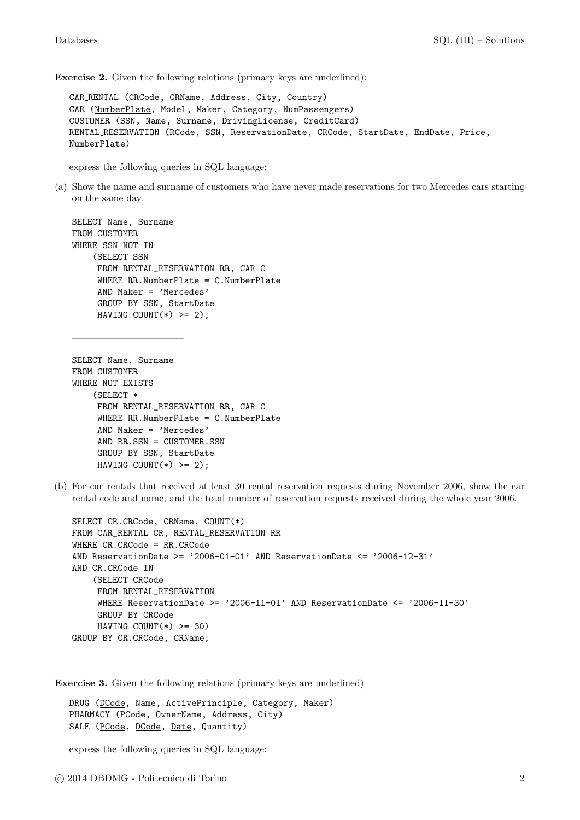Exercise 2. Given the following relations (primary keys are underlined):

CAR RENTAL (CRCode, CRName, Address, City, Country) CAR (NumberPlate, Model, Maker, Category, NumPassengers) CUSTOMER (SSN, Name, Surname, DrivingLicense, CreditCard) RENTAL RESERVATION (RCode, SSN, ReservationDate, CRCode, StartDate, EndDate, Price, NumberPlate)

express the following queries in SQL language:

(a) Show the name and surname of customers who have never made reservations for two Mercedes cars starting on the same day.

```
SELECT Name, Surname
FROM CUSTOMER
WHERE SSN NOT IN
    (SELECT SSN
     FROM RENTAL_RESERVATION RR, CAR C
     WHERE RR.NumberPlate = C.NumberPlate
     AND Maker = 'Mercedes'
     GROUP BY SSN, StartDate
     HAVING COUNT(*) >= 2);
```
———————————–

```
SELECT Name, Surname
FROM CUSTOMER
WHERE NOT EXISTS
    (SELECT *
     FROM RENTAL_RESERVATION RR, CAR C
     WHERE RR.NumberPlate = C.NumberPlate
     AND Maker = 'Mercedes'
     AND RR.SSN = CUSTOMER.SSN
     GROUP BY SSN, StartDate
     HAVING COUNT(*) >= 2);
```
(b) For car rentals that received at least 30 rental reservation requests during November 2006, show the car rental code and name, and the total number of reservation requests received during the whole year 2006.

```
SELECT CR.CRCode, CRName, COUNT(*)
FROM CAR RENTAL CR, RENTAL RESERVATION RR
WHERE CR.CRCode = RR.CRCode
AND ReservationDate >= '2006-01-01' AND ReservationDate <= '2006-12-31'AND CR.CRCode IN
    (SELECT CRCode
     FROM RENTAL_RESERVATION
     WHERE ReservationDate >= '2006-11-01' AND ReservationDate <= '2006-11-30'GROUP BY CRCode
    HAVING COUNT(*) >= 30)
GROUP BY CR.CRCode, CRName;
```
Exercise 3. Given the following relations (primary keys are underlined)

DRUG (DCode, Name, ActivePrinciple, Category, Maker) PHARMACY (PCode, OwnerName, Address, City) SALE (PCode, DCode, Date, Quantity)

express the following queries in SQL language: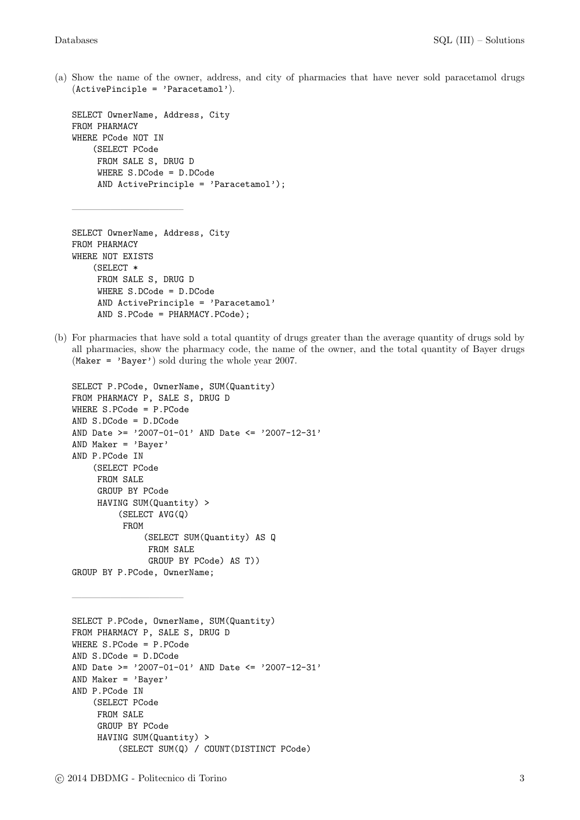(a) Show the name of the owner, address, and city of pharmacies that have never sold paracetamol drugs  $(ActivePinciple = 'Paracetamol').$ 

```
SELECT OwnerName, Address, City
FROM PHARMACY
WHERE PCode NOT IN
    (SELECT PCode
    FROM SALE S, DRUG D
     WHERE S.DCode = D.DCode
     AND ActivePrinciple = 'Paracetamol');
```

```
SELECT OwnerName, Address, City
FROM PHARMACY
WHERE NOT EXISTS
    (SELECT *
     FROM SALE S, DRUG D
     WHERE S.DCode = D.DCode
     AND ActivePrinciple = 'Paracetamol'
     AND S.PCode = PHARMACY.PCode);
```
———————————–

(b) For pharmacies that have sold a total quantity of drugs greater than the average quantity of drugs sold by all pharmacies, show the pharmacy code, the name of the owner, and the total quantity of Bayer drugs (Maker = 'Bayer') sold during the whole year 2007.

```
SELECT P.PCode, OwnerName, SUM(Quantity)
FROM PHARMACY P, SALE S, DRUG D
WHERE S.PCode = P.PCode
AND S.DCode = D.DCode
AND Date >= '2007-01-01' AND Date <= '2007-12-31'
AND Maker = 'Bayer'
AND P.PCode IN
    (SELECT PCode
     FROM SALE
     GROUP BY PCode
     HAVING SUM(Quantity) >
         (SELECT AVG(Q)
          FROM
              (SELECT SUM(Quantity) AS Q
               FROM SALE
               GROUP BY PCode) AS T))
GROUP BY P.PCode, OwnerName;
```

```
SELECT P.PCode, OwnerName, SUM(Quantity)
FROM PHARMACY P, SALE S, DRUG D
WHERE S.PCode = P.PCode
AND S.DCode = D.DCode
AND Date >= '2007-01-01' AND Date <= '2007-12-31'
AND Maker = 'Bayer'
AND P.PCode IN
    (SELECT PCode
    FROM SALE
     GROUP BY PCode
     HAVING SUM(Quantity) >
         (SELECT SUM(Q) / COUNT(DISTINCT PCode)
```
———————————–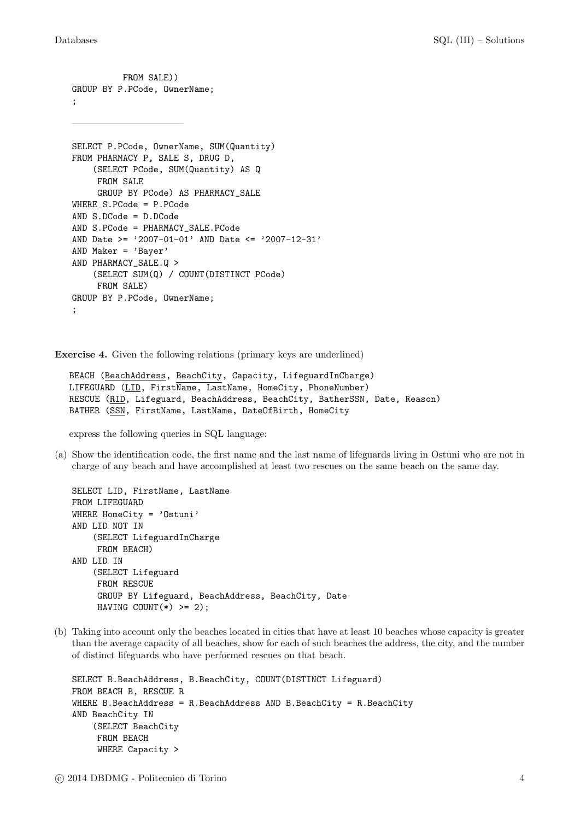```
GROUP BY P.PCode, OwnerName;
;
———————————–
SELECT P.PCode, OwnerName, SUM(Quantity)
FROM PHARMACY P, SALE S, DRUG D,
    (SELECT PCode, SUM(Quantity) AS Q
    FROM SALE
     GROUP BY PCode) AS PHARMACY_SALE
WHERE S.PCode = P.PCode
AND S.DCode = D.DCode
AND S.PCode = PHARMACY_SALE.PCode
AND Date >= '2007-01-01' AND Date <= '2007-12-31'
AND Maker = 'Bayer'
AND PHARMACY_SALE.Q >
    (SELECT SUM(Q) / COUNT(DISTINCT PCode)
    FROM SALE)
GROUP BY P.PCode, OwnerName;
;
```
FROM SALE))

Exercise 4. Given the following relations (primary keys are underlined)

```
BEACH (BeachAddress, BeachCity, Capacity, LifeguardInCharge)
LIFEGUARD (LID, FirstName, LastName, HomeCity, PhoneNumber)
RESCUE (RID, Lifeguard, BeachAddress, BeachCity, BatherSSN, Date, Reason)
BATHER (SSN, FirstName, LastName, DateOfBirth, HomeCity
```
express the following queries in SQL language:

(a) Show the identification code, the first name and the last name of lifeguards living in Ostuni who are not in charge of any beach and have accomplished at least two rescues on the same beach on the same day.

```
SELECT LID, FirstName, LastName
FROM LIFEGUARD
WHERE HomeCity = 'Ostuni'
AND LID NOT IN
    (SELECT LifeguardInCharge
    FROM BEACH)
AND LID IN
    (SELECT Lifeguard
     FROM RESCUE
     GROUP BY Lifeguard, BeachAddress, BeachCity, Date
     HAVING COUNT(*) >= 2);
```
(b) Taking into account only the beaches located in cities that have at least 10 beaches whose capacity is greater than the average capacity of all beaches, show for each of such beaches the address, the city, and the number of distinct lifeguards who have performed rescues on that beach.

```
SELECT B.BeachAddress, B.BeachCity, COUNT(DISTINCT Lifeguard)
FROM BEACH B, RESCUE R
WHERE B.BeachAddress = R.BeachAddress AND B.BeachCity = R.BeachCityAND BeachCity IN
    (SELECT BeachCity
     FROM BEACH
     WHERE Capacity >
```